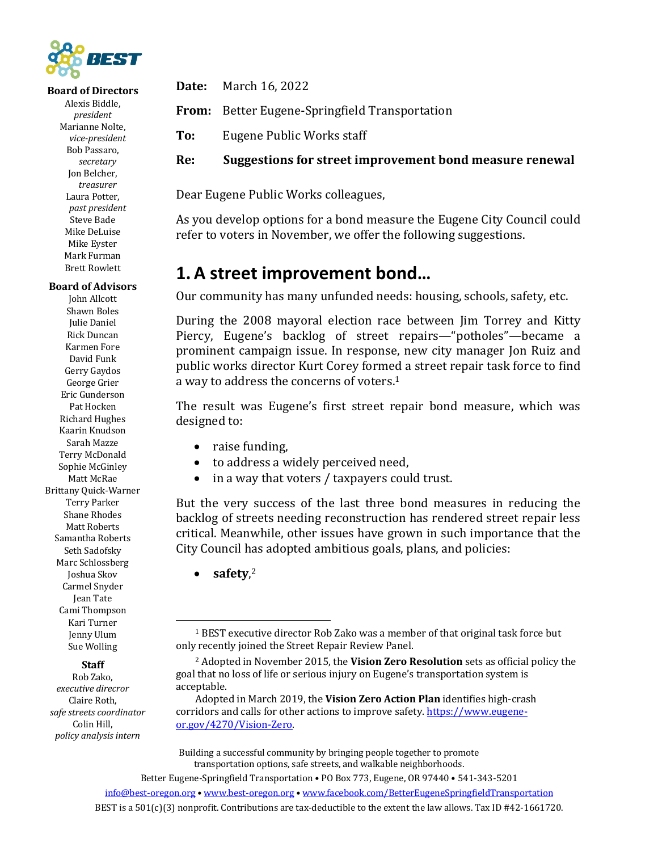

### **Board of Directors**

Alexis Biddle, *president* Marianne Nolte, *vice-president* Bob Passaro, *secretary* Jon Belcher, *treasurer* Laura Potter, *past president* Steve Bade Mike DeLuise Mike Eyster Mark Furman **Brett Rowlett** 

#### **Board of Advisors**

John Allcott Shawn Boles Julie Daniel Rick Duncan Karmen Fore David Funk Gerry Gaydos George Grier Eric Gunderson Pat Hocken Richard Hughes Kaarin Knudson Sarah Mazze Terry McDonald Sophie McGinley Matt McRae Brittany Quick-Warner Terry Parker Shane Rhodes Matt Roberts Samantha Roberts Seth Sadofsky Marc Schlossberg Joshua Skov Carmel Snyder Jean Tate Cami Thompson Kari Turner Jenny Ulum Sue Wolling

### **Staff**

Rob Zako, *executive direcror* Claire Roth, *safe streets coordinator* Colin Hill, *policy analysis intern*

**Date:** March 16, 2022

**From:** Better Eugene-Springfield Transportation

**To:** Eugene Public Works staff

**Re:** Suggestions for street improvement bond measure renewal

Dear Eugene Public Works colleagues,

As you develop options for a bond measure the Eugene City Council could refer to voters in November, we offer the following suggestions.

## **1.A street improvement bond…**

Our community has many unfunded needs: housing, schools, safety, etc.

During the 2008 mayoral election race between *Jim* Torrey and Kitty Piercy, Eugene's backlog of street repairs—"potholes"—became a prominent campaign issue. In response, new city manager Jon Ruiz and public works director Kurt Corey formed a street repair task force to find a way to address the concerns of voters.<sup>1</sup>

The result was Eugene's first street repair bond measure, which was designed to:

- raise funding,
- to address a widely perceived need,
- in a way that voters / taxpayers could trust.

But the very success of the last three bond measures in reducing the backlog of streets needing reconstruction has rendered street repair less critical. Meanwhile, other issues have grown in such importance that the City Council has adopted ambitious goals, plans, and policies:

• **safety**, 2

Building a successful community by bringing people together to promote transportation options, safe streets, and walkable neighborhoods.

<sup>&</sup>lt;sup>1</sup> BEST executive director Rob Zako was a member of that original task force but only recently joined the Street Repair Review Panel.

<sup>&</sup>lt;sup>2</sup> Adopted in November 2015, the Vision Zero Resolution sets as official policy the goal that no loss of life or serious injury on Eugene's transportation system is acceptable.

Adopted in March 2019, the Vision Zero Action Plan identifies high-crash corridors and calls for other actions to improve safety. https://www.eugeneor.gov/4270/Vision-Zero.

Better Eugene-Springfield Transportation . PO Box 773, Eugene, OR 97440 . 541-343-5201 info@best-oregon.org • www.best-oregon.org • www.facebook.com/BetterEugeneSpringfieldTransportation BEST is a  $501(c)(3)$  nonprofit. Contributions are tax-deductible to the extent the law allows. Tax ID #42-1661720.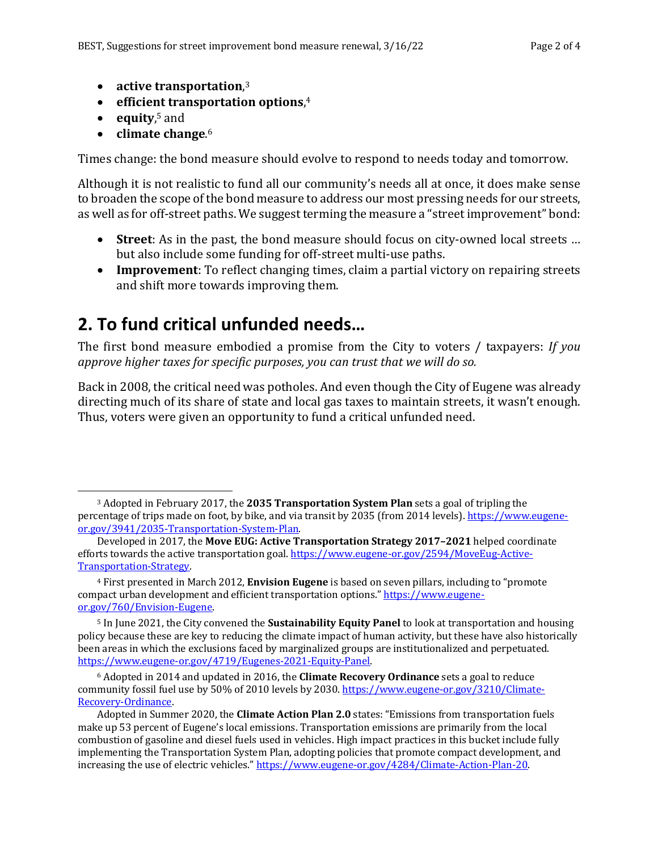- **•** active transportation,<sup>3</sup>
- **•** efficient transportation options,<sup>4</sup>
- **equity**, <sup>5</sup> and
- climate change.<sup>6</sup>

Times change: the bond measure should evolve to respond to needs today and tomorrow.

Although it is not realistic to fund all our community's needs all at once, it does make sense to broaden the scope of the bond measure to address our most pressing needs for our streets, as well as for off-street paths. We suggest terming the measure a "street improvement" bond:

- **Street**: As in the past, the bond measure should focus on city-owned local streets ... but also include some funding for off-street multi-use paths.
- **Improvement**: To reflect changing times, claim a partial victory on repairing streets and shift more towards improving them.

# **2. To fund critical unfunded needs…**

The first bond measure embodied a promise from the City to voters / taxpayers: *If you* approve higher taxes for specific purposes, you can trust that we will do so.

Back in 2008, the critical need was potholes. And even though the City of Eugene was already directing much of its share of state and local gas taxes to maintain streets, it wasn't enough. Thus, voters were given an opportunity to fund a critical unfunded need.

<sup>&</sup>lt;sup>3</sup> Adopted in February 2017, the **2035 Transportation System Plan** sets a goal of tripling the percentage of trips made on foot, by bike, and via transit by 2035 (from 2014 levels). https://www.eugeneor.gov/3941/2035-Transportation-System-Plan.

Developed in 2017, the Move EUG: Active Transportation Strategy 2017–2021 helped coordinate efforts towards the active transportation goal. https://www.eugene-or.gov/2594/MoveEug-Active-Transportation-Strategy.

<sup>&</sup>lt;sup>4</sup> First presented in March 2012, **Envision Eugene** is based on seven pillars, including to "promote" compact urban development and efficient transportation options." https://www.eugeneor.gov/760/Envision-Eugene.

<sup>&</sup>lt;sup>5</sup> In June 2021, the City convened the **Sustainability Equity Panel** to look at transportation and housing policy because these are key to reducing the climate impact of human activity, but these have also historically been areas in which the exclusions faced by marginalized groups are institutionalized and perpetuated. https://www.eugene-or.gov/4719/Eugenes-2021-Equity-Panel.

 $6$  Adopted in 2014 and updated in 2016, the **Climate Recovery Ordinance** sets a goal to reduce community fossil fuel use by 50% of 2010 levels by 2030. https://www.eugene-or.gov/3210/Climate-Recovery-Ordinance.

Adopted in Summer 2020, the **Climate Action Plan 2.0** states: "Emissions from transportation fuels make up 53 percent of Eugene's local emissions. Transportation emissions are primarily from the local combustion of gasoline and diesel fuels used in vehicles. High impact practices in this bucket include fully implementing the Transportation System Plan, adopting policies that promote compact development, and increasing the use of electric vehicles." https://www.eugene-or.gov/4284/Climate-Action-Plan-20.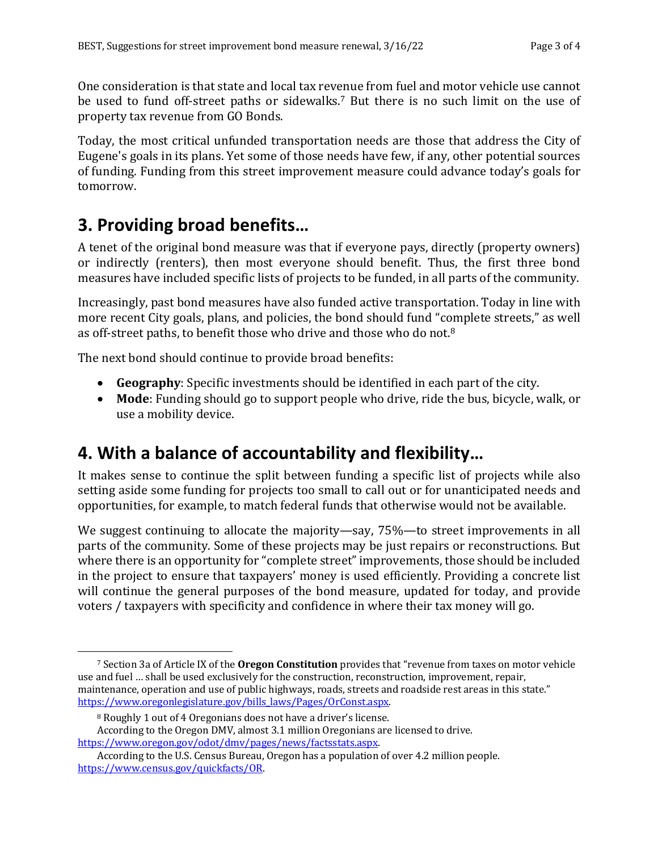One consideration is that state and local tax revenue from fuel and motor vehicle use cannot be used to fund off-street paths or sidewalks.<sup>7</sup> But there is no such limit on the use of property tax revenue from GO Bonds.

Today, the most critical unfunded transportation needs are those that address the City of Eugene's goals in its plans. Yet some of those needs have few, if any, other potential sources of funding. Funding from this street improvement measure could advance today's goals for tomorrow.

# **3. Providing broad benefits…**

A tenet of the original bond measure was that if everyone pays, directly (property owners) or indirectly (renters), then most everyone should benefit. Thus, the first three bond measures have included specific lists of projects to be funded, in all parts of the community.

Increasingly, past bond measures have also funded active transportation. Today in line with more recent City goals, plans, and policies, the bond should fund "complete streets," as well as off-street paths, to benefit those who drive and those who do not. $^8$ 

The next bond should continue to provide broad benefits:

- Geography: Specific investments should be identified in each part of the city.
- **Mode**: Funding should go to support people who drive, ride the bus, bicycle, walk, or use a mobility device.

# **4. With a balance of accountability and flexibility…**

It makes sense to continue the split between funding a specific list of projects while also setting aside some funding for projects too small to call out or for unanticipated needs and opportunities, for example, to match federal funds that otherwise would not be available.

We suggest continuing to allocate the majority—say, 75%—to street improvements in all parts of the community. Some of these projects may be just repairs or reconstructions. But where there is an opportunity for "complete street" improvements, those should be included in the project to ensure that taxpayers' money is used efficiently. Providing a concrete list will continue the general purposes of the bond measure, updated for today, and provide voters / taxpayers with specificity and confidence in where their tax money will go.

<sup>&</sup>lt;sup>7</sup> Section 3a of Article IX of the **Oregon Constitution** provides that "revenue from taxes on motor vehicle use and fuel ... shall be used exclusively for the construction, reconstruction, improvement, repair, maintenance, operation and use of public highways, roads, streets and roadside rest areas in this state." https://www.oregonlegislature.gov/bills\_laws/Pages/OrConst.aspx.

<sup>&</sup>lt;sup>8</sup> Roughly 1 out of 4 Oregonians does not have a driver's license.

According to the Oregon DMV, almost 3.1 million Oregonians are licensed to drive. https://www.oregon.gov/odot/dmv/pages/news/factsstats.aspx.

According to the U.S. Census Bureau, Oregon has a population of over 4.2 million people. https://www.census.gov/quickfacts/OR.